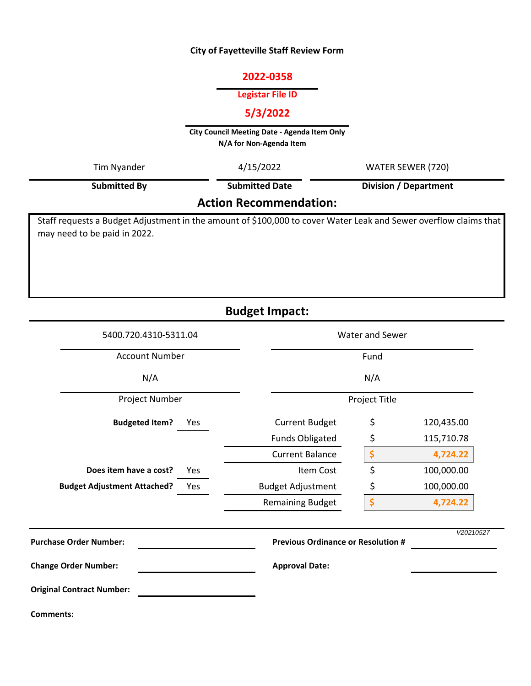## **City of Fayetteville Staff Review Form**

## **2022-0358**

## **Legistar File ID**

# **5/3/2022**

**City Council Meeting Date - Agenda Item Only N/A for Non-Agenda Item** 

| Tim Nyander                   | 4/15/2022             | WATER SEWER (720)     |  |  |
|-------------------------------|-----------------------|-----------------------|--|--|
| <b>Submitted By</b>           | <b>Submitted Date</b> | Division / Department |  |  |
| <b>Action Recommendation:</b> |                       |                       |  |  |

# **Action Recommendation:**

Staff requests a Budget Adjustment in the amount of \$100,000 to cover Water Leak and Sewer overflow claims that may need to be paid in 2022.

**Budget Impact:**

| 5400.720.4310-5311.04                     | <b>Water and Sewer</b>                    |    |            |  |
|-------------------------------------------|-------------------------------------------|----|------------|--|
| <b>Account Number</b>                     | Fund                                      |    |            |  |
| N/A                                       | N/A                                       |    |            |  |
| Project Number                            | Project Title                             |    |            |  |
| <b>Budgeted Item?</b><br>Yes              | <b>Current Budget</b>                     | \$ | 120,435.00 |  |
|                                           | <b>Funds Obligated</b>                    | \$ | 115,710.78 |  |
|                                           | <b>Current Balance</b>                    | \$ | 4,724.22   |  |
| Does item have a cost?<br>Yes             | Item Cost                                 | \$ | 100,000.00 |  |
| <b>Budget Adjustment Attached?</b><br>Yes | <b>Budget Adjustment</b>                  | \$ | 100,000.00 |  |
|                                           | <b>Remaining Budget</b>                   | \$ | 4,724.22   |  |
| <b>Purchase Order Number:</b>             | <b>Previous Ordinance or Resolution #</b> |    | V20210527  |  |
| <b>Change Order Number:</b>               | <b>Approval Date:</b>                     |    |            |  |
| <b>Original Contract Number:</b>          |                                           |    |            |  |
| <b>Comments:</b>                          |                                           |    |            |  |